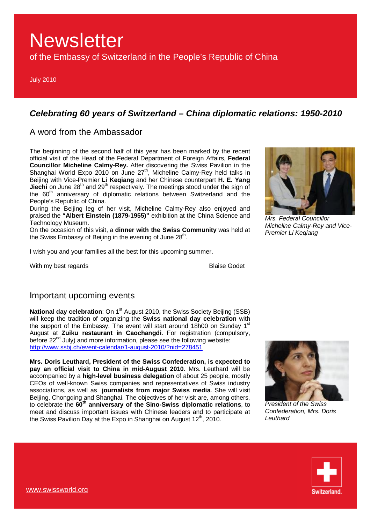of the Embassy of Switzerland in the People's Republic of China

July 2010

### *Celebrating 60 years of Switzerland – China diplomatic relations: 1950-2010*

A word from the Ambassador

The beginning of the second half of this year has been marked by the recent official visit of the Head of the Federal Department of Foreign Affairs, **Federal Councillor Micheline Calmy-Rey.** After discovering the Swiss Pavilion in the Shanghai World Expo 2010 on June 27<sup>th</sup>, Micheline Calmy-Rey held talks in Beijing with Vice-Premier **Li Keqiang** and her Chinese counterpart **H. E. Yang Jiechi** on June 28<sup>th</sup> and 29<sup>th</sup> respectively. The meetings stood under the sign of the 60<sup>th</sup> anniversary of diplomatic relations between Switzerland and the People's Republic of China.

During the Beijing leg of her visit, Micheline Calmy-Rey also enjoyed and praised the **"Albert Einstein (1879-1955)"** exhibition at the China Science and Technology Museum.

On the occasion of this visit, a **dinner with the Swiss Community** was held at the Swiss Embassy of Beijing in the evening of June 28<sup>th</sup>.

I wish you and your families all the best for this upcoming summer.

With my best regards **Blaise Godet** Blaise Godet

*Mrs. Federal Councillor Micheline Calmy-Rey and Vice-Premier Li Keqiang* 

### Important upcoming events

**National day celebration**: On 1<sup>st</sup> August 2010, the Swiss Society Beijing (SSB) will keep the tradition of organizing the **Swiss national day celebration** with the support of the Embassy. The event will start around 18h00 on Sunday  $1<sup>st</sup>$ August at **Zuiku restaurant in Caochangdi**. For registration (compulsory, before 22<sup>nd</sup> July) and more information, please see the following website: <http://www.ssbj.ch/event-calendar/1-august-2010/?nid=278451>

**Mrs. Doris Leuthard, President of the Swiss Confederation, is expected to pay an official visit to China in mid-August 2010**. Mrs. Leuthard will be accompanied by a **high-level business delegation** of about 25 people, mostly CEOs of well-known Swiss companies and representatives of Swiss industry associations, as well as **journalists from major Swiss media**. She will visit Beijing, Chongqing and Shanghai. The objectives of her visit are, among others, to celebrate the **60th anniversary of the Sino-Swiss diplomatic relations**, to meet and discuss important issues with Chinese leaders and to participate at the Swiss Pavilion Day at the Expo in Shanghai on August  $12<sup>th</sup>$ , 2010.



*President of the Swiss Confederation, Mrs. Doris Leuthard* 

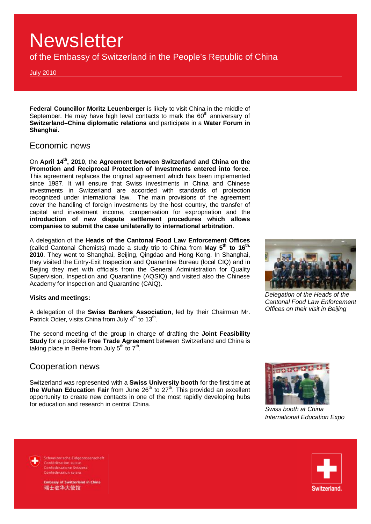of the Embassy of Switzerland in the People's Republic of China

July 2010

**Federal Councillor Moritz Leuenberger** is likely to visit China in the middle of September. He may have high level contacts to mark the  $60<sup>th</sup>$  anniversary of **Switzerland–China diplomatic relations** and participate in a **Water Forum in Shanghai.**

### Economic news

On **April 14th , 2010**, the **Agreement between Switzerland and China on the Promotion and Reciprocal Protection of Investments entered into force**. This agreement replaces the original agreement which has been implemented since 1987. It will ensure that Swiss investments in China and Chinese investments in Switzerland are accorded with standards of protection recognized under international law. The main provisions of the agreement cover the handling of foreign investments by the host country, the transfer of capital and investment income, compensation for expropriation and the **introduction of new dispute settlement procedures which allows companies to submit the case unilaterally to international arbitration**.

A delegation of the **Heads of the Cantonal Food Law Enforcement Offices** (called Cantonal Chemists) made a study trip to China from **May 5 th to 16th, 2010**. They went to Shanghai, Beijing, Qingdao and Hong Kong. In Shanghai, they visited the Entry-Exit Inspection and Quarantine Bureau (local CIQ) and in Beijing they met with officials from the General Administration for Quality Supervision, Inspection and Quarantine (AQSIQ) and visited also the Chinese Academy for Inspection and Quarantine (CAIQ).

### **Visits and meetings:**

A delegation of the **Swiss Bankers Association**, led by their Chairman Mr. Patrick Odier, visits China from July  $4<sup>th</sup>$  to 13<sup>th</sup>.

The second meeting of the group in charge of drafting the **Joint Feasibility Study** for a possible **Free Trade Agreement** between Switzerland and China is taking place in Berne from July  $5^{th}$  to  $7^{th}$ .

### Cooperation news

Switzerland was represented with a **Swiss University booth** for the first time **at**  the Wuhan Education Fair from June 26<sup>th</sup> to 27<sup>th</sup>. This provided an excellent opportunity to create new contacts in one of the most rapidly developing hubs for education and research in central China.



*Delegation of the Heads of the Cantonal Food Law Enforcement Offices on their visit in Beijing* 



*Swiss booth at China International Education Expo* 



Schweizensche Eidgenossenschaft Confederation suisse Confederazione Svizzera Confederaziun svizra.

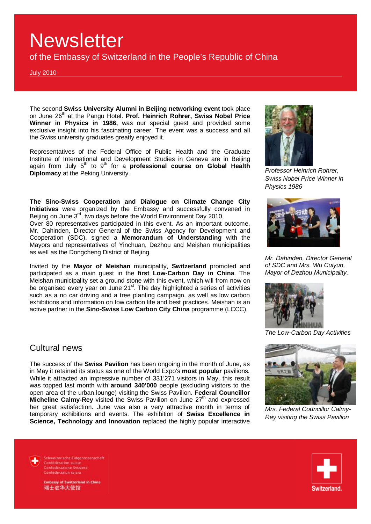of the Embassy of Switzerland in the People's Republic of China

July 2010

The second **Swiss University Alumni in Beijing networking event** took place on June 26th at the Pangu Hotel. **Prof. Heinrich Rohrer, Swiss Nobel Price Winner in Physics in 1986,** was our special guest and provided some exclusive insight into his fascinating career. The event was a success and all the Swiss university graduates greatly enjoyed it.

Representatives of the Federal Office of Public Health and the Graduate Institute of International and Development Studies in Geneva are in Beijing again from July 5th to 9th for a **professional course on Global Health Diplomacy** at the Peking University.

**The Sino-Swiss Cooperation and Dialogue on Climate Change City Initiatives** were organized by the Embassy and successfully convened in Beijing on June 3<sup>rd</sup>, two days before the World Environment Day 2010. Over 80 representatives participated in this event. As an important outcome, Mr. Dahinden, Director General of the Swiss Agency for Development and Cooperation (SDC), signed a **Memorandum of Understanding** with the Mayors and representatives of Yinchuan, Dezhou and Meishan municipalities as well as the Dongcheng District of Beijing.

Invited by the **Mayor of Meishan** municipality, **Switzerland** promoted and participated as a main guest in the **first Low-Carbon Day in China**. The Meishan municipality set a ground stone with this event, which will from now on be organised every year on June  $21<sup>st</sup>$ . The day highlighted a series of activities such as a no car driving and a tree planting campaign, as well as low carbon exhibitions and information on low carbon life and best practices. Meishan is an active partner in the **Sino-Swiss Low Carbon City China** programme (LCCC).

The success of the **Swiss Pavilion** has been ongoing in the month of June, as in May it retained its status as one of the World Expo's **most popular** pavilions. While it attracted an impressive number of 331'271 visitors in May, this result was topped last month with **around 340'000** people (excluding visitors to the open area of the urban lounge) visiting the Swiss Pavilion. **Federal Councillor Micheline Calmy-Rey** visited the Swiss Pavilion on June 27<sup>th</sup> and expressed her great satisfaction. June was also a very attractive month in terms of temporary exhibitions and events. The exhibition of **Swiss Excellence in Science, Technology and Innovation** replaced the highly popular interactive



*Professor Heinrich Rohrer, Swiss Nobel Price Winner in Physics 1986* 



*Mr. Dahinden, Director General of SDC and Mrs. Wu Cuiyun, Mayor of Dezhou Municipality.* 



*The Low-Carbon Day Activities* 



*Mrs. Federal Councillor Calmy-Rey visiting the Swiss Pavilion* 

Schweizensche Eidgenossenschaft Confederation suisse Confederazione Svizzera Confederaziun svizra.

Cultural news



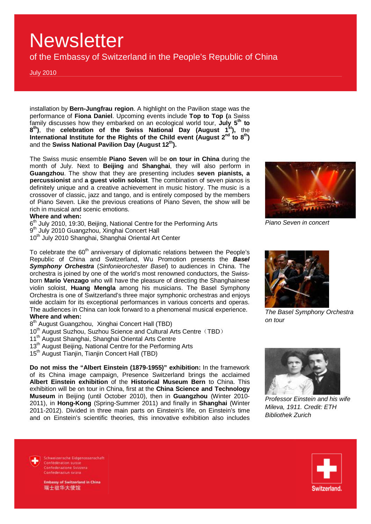of the Embassy of Switzerland in the People's Republic of China

July 2010

installation by **Bern-Jungfrau region**. A highlight on the Pavilion stage was the performance of **Fiona Daniel**. Upcoming events include **Top to Top (**a Swiss family discusses how they embarked on an ecological world tour, **July 5th to 8 th)**, the **celebration of the Swiss National Day (August 1st),** the **International Institute for the Rights of the Child event (August 2nd to 8th)** and the **Swiss National Pavilion Day (August 12th).** 

The Swiss music ensemble **Piano Seven** will be **on tour in China** during the month of July. Next to **Beijing** and **Shanghai**, they will also perform in **Guangzhou**. The show that they are presenting includes **seven pianists, a percussionist** and **a guest violin soloist**. The combination of seven pianos is definitely unique and a creative achievement in music history. The music is a crossover of classic, jazz and tango, and is entirely composed by the members of Piano Seven. Like the previous creations of Piano Seven, the show will be rich in musical and scenic emotions.

#### **Where and when:**

6<sup>th</sup> July 2010, 19:30, Beijing, National Centre for the Performing Arts 9<sup>th</sup> July 2010 Guangzhou, Xinghai Concert Hall 10<sup>th</sup> July 2010 Shanghai, Shanghai Oriental Art Center

To celebrate the  $60<sup>th</sup>$  anniversary of diplomatic relations between the People's Republic of China and Switzerland, Wu Promotion presents the *Basel Symphony Orchestra* (*Sinfonieorchester Basel*) to audiences in China. The orchestra is joined by one of the world's most renowned conductors, the Swissborn **Mario Venzago** who will have the pleasure of directing the Shanghainese violin soloist, **Huang Mengla** among his musicians. The Basel Symphony Orchestra is one of Switzerland's three major symphonic orchestras and enjoys wide acclaim for its exceptional performances in various concerts and operas. The audiences in China can look forward to a phenomenal musical experience. **Where and when:** 

8<sup>th</sup> August Guangzhou, Xinghai Concert Hall (TBD)

- 10<sup>th</sup> August Suzhou, Suzhou Science and Cultural Arts Centre (TBD)
- 11<sup>th</sup> August Shanghai, Shanghai Oriental Arts Centre
- 13<sup>th</sup> August Beijing, National Centre for the Performing Arts

15<sup>th</sup> August Tianjin, Tianjin Concert Hall (TBD)

**Do not miss the "Albert Einstein (1879-1955)" exhibition:** In the framework of its China image campaign, Presence Switzerland brings the acclaimed **Albert Einstein exhibition** of the **Historical Museum Bern** to China. This exhibition will be on tour in China, first at the **China Science and Technology Museum** in Beijing (until October 2010), then in **Guangzhou** (Winter 2010- 2011), in **Hong-Kong** (Spring-Summer 2011) and finally in **Shanghai** (Winter 2011-2012). Divided in three main parts on Einstein's life, on Einstein's time and on Einstein's scientific theories, this innovative exhibition also includes



*Piano Seven in concert* 



*The Basel Symphony Orchestra on tour* 



*Professor Einstein and his wife Mileva, 1911. Credit: ETH Bibliothek Zurich* 

Schweizensche Eidgenossenschaft Confederation suisse Confederazione Svizzera Confederaziun svizra.



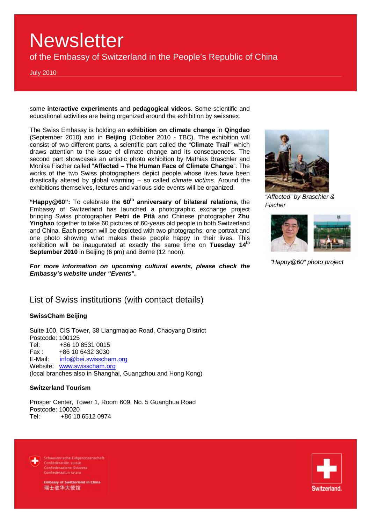of the Embassy of Switzerland in the People's Republic of China

July 2010

some **interactive experiments** and **pedagogical videos**. Some scientific and educational activities are being organized around the exhibition by swissnex.

The Swiss Embassy is holding an **exhibition on climate change** in **Qingdao** (September 2010) and in **Beijing** (October 2010 - TBC). The exhibition will consist of two different parts, a scientific part called the "**Climate Trail**" which draws attention to the issue of climate change and its consequences. The second part showcases an artistic photo exhibition by Mathias Braschler and Monika Fischer called "**Affected – The Human Face of Climate Change**". The works of the two Swiss photographers depict people whose lives have been drastically altered by global warming – so called *climate victims*. Around the exhibitions themselves, lectures and various side events will be organized.

**"Happy@60":** To celebrate the **60th anniversary of bilateral relations**, the Embassy of Switzerland has launched a photographic exchange project bringing Swiss photographer **Petri de Pità** and Chinese photographer **Zhu Yinghao** together to take 60 pictures of 60-years old people in both Switzerland and China. Each person will be depicted with two photographs, one portrait and one photo showing what makes these people happy in their lives. This exhibition will be inaugurated at exactly the same time on **Tuesday 14th September 2010** in Beijing (6 pm) and Berne (12 noon).

*For more information on upcoming cultural events, please check the Embassy's website under "Events".* 

List of Swiss institutions (with contact details)

### **SwissCham Beijing**

Suite 100, CIS Tower, 38 Liangmaqiao Road, Chaoyang District Postcode: 100125 Tel: +86 10 8531 0015  $Fax : +86 10 6432 3030$ E-Mail: [info@bei.swisscham.org](mailto:info@bei.swisscham.org) Website: [www.swisscham.org](http://www.swisscham.org) (local branches also in Shanghai, Guangzhou and Hong Kong)

#### **Switzerland Tourism**

Prosper Center, Tower 1, Room 609, No. 5 Guanghua Road Postcode: 100020 Tel: +86 10 6512 0974



*"Affected" by Braschler & Fischer* 



 *"Happy@60" photo project*



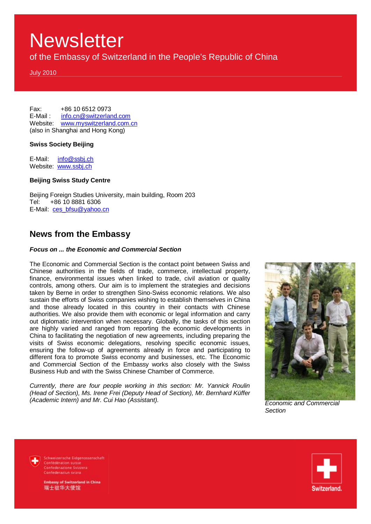of the Embassy of Switzerland in the People's Republic of China

July 2010

Fax: +86 10 6512 0973 E-Mail : [info.cn@switzerland.com](mailto:info.cn@switzerland.com) Website: [www.myswitzerland.com.cn](http://www.myswitzerland.com.cn) (also in Shanghai and Hong Kong)

#### **Swiss Society Beijing**

E-Mail: [info@ssbj.ch](mailto:info@ssbj.ch) Website: [www.ssbj.ch](http://www.ssbj.ch) 

#### **Beijing Swiss Study Centre**

Beijing Foreign Studies University, main building, Room 203 Tel: +86 10 8881 6306 E-Mail: [ces\\_bfsu@yahoo.cn](mailto:ces_bfsu@yahoo.cn)

### **News from the Embassy**

#### *Focus on ... the Economic and Commercial Section*

The Economic and Commercial Section is the contact point between Swiss and Chinese authorities in the fields of trade, commerce, intellectual property, finance, environmental issues when linked to trade, civil aviation or quality controls, among others. Our aim is to implement the strategies and decisions taken by Berne in order to strengthen Sino-Swiss economic relations. We also sustain the efforts of Swiss companies wishing to establish themselves in China and those already located in this country in their contacts with Chinese authorities. We also provide them with economic or legal information and carry out diplomatic intervention when necessary. Globally, the tasks of this section are highly varied and ranged from reporting the economic developments in China to facilitating the negotiation of new agreements, including preparing the visits of Swiss economic delegations, resolving specific economic issues, ensuring the follow-up of agreements already in force and participating to different fora to promote Swiss economy and businesses, etc. The Economic and Commercial Section of the Embassy works also closely with the Swiss Business Hub and with the Swiss Chinese Chamber of Commerce.

*Currently, there are four people working in this section: Mr. Yannick Roulin (Head of Section), Ms. Irene Frei (Deputy Head of Section), Mr. Bernhard Küffer (Academic Intern) and Mr. Cui Hao (Assistant). Economic and Commercial* 



*Section* 



Schweizensche Eidgenossenschaft Confederation suisse Confederazione Svizzera Confederaziun svizra.